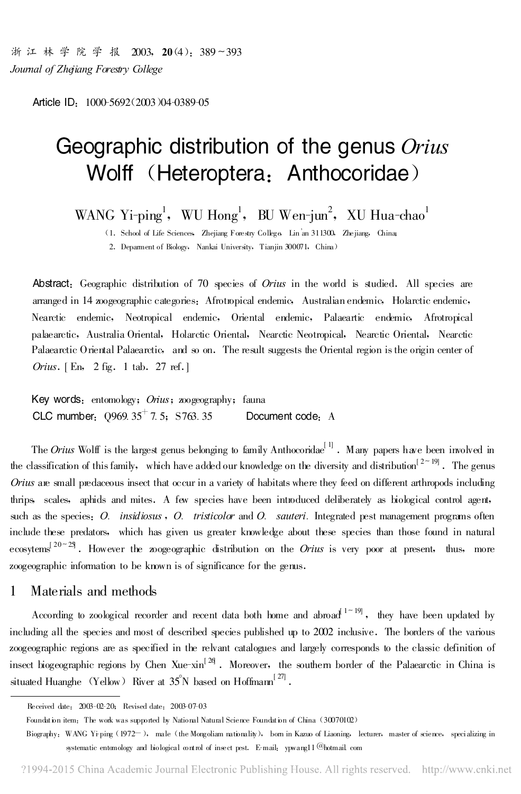浙江林学院学报 2003, 20(4): 389~393 Journal of Zhejiang Forestry College

Article ID: 1000-5692(2003)04-0389-05

# Geographic distribution of the genus Orius Wolff (Heteroptera: Anthocoridae)

WANG Yi-ping<sup>1</sup>, WU Hong<sup>1</sup>, BU Wen-jun<sup>2</sup>, XU Hua-chao<sup>1</sup>

(1. School of Life Sciences, Zhejiang Forestry College, Lin<sup>'</sup>an 311300, Zhejiang, China;

2. Deparment of Biology, Nankai University, Tianjin 300071, China)

Abstract: Geographic distribution of 70 species of *Orius* in the world is studied. All species are arranged in 14 zoogeographic categories: Afrotropical endemic, Australian endemic, Holarctic endemic, Nearctic endemic, Neotropical endemic, Oriental endemic, Palaeartic endemic, Afrotropical palaearctic, Australia Oriental, Holarctic Oriental, Nearctic Neotropical, Nearctic Oriental, Nearctic Palaearctic Oriental Palaearctic, and so on. The result suggests the Oriental region is the origin center of Orius.  $[En, 2 fig. 1 tab. 27 ref.]$ 

Key words: entomology; Orius; zoogeography; fauna CLC mumber:  $0969.35^+$  7.5; S763.35 Document code<sub>: A</sub>

The Orius Wolff is the largest genus belonging to family Anthocoridae<sup>[1]</sup>. Many papers have been involved in the classification of this family, which have added our knowledge on the diversity and distribution<sup>[2~19]</sup>. The genus Orius are small predaceous insect that occur in a variety of habitats where they feed on different arthropods including thrips, scales, aphids and mites. A few species have been introduced deliberately as biological control agent, such as the species: O. insidiosus, O. tristicolor and O. sauteri. Integrated pest management programs often include these predators, which has given us greater knowledge about these species than those found in natural ecosytems<sup>[20~25]</sup>. However the zoogeographic distribution on the *Orius* is very poor at present, thus, more zoogeographic information to be known is of significance for the genus.

## 1 Materials and methods

According to zoological recorder and recent data both home and abroad  $1-19$ , they have been updated by including all the species and most of described species published up to 2002 inclusive. The borders of the various zoogeographic regions are as specified in the relvant catalogues and largely corresponds to the classic definition of insect biogeographic regions by Chen Xue-xin<sup>[26]</sup>. Moreover, the southern border of the Palaearctic in China is situated Huanghe (Yellow) River at  $35^{\circ}\rm{N}$  based on Hoffmam $^{[27]}$ .

Received date: 2003-02-20; Revised date: 2003-07-03

Foundation item: The work was supported by National Natural Science Foundation of China (30070102)

Biography: WANG Yi-ping (1972-), male (the Mongoliam nationality), bom in Kazuo of Liaoning, lecturer, master of science, specializing in systematic entomology and biological control of insect pest. E-mail: ypwang11@hotmail.com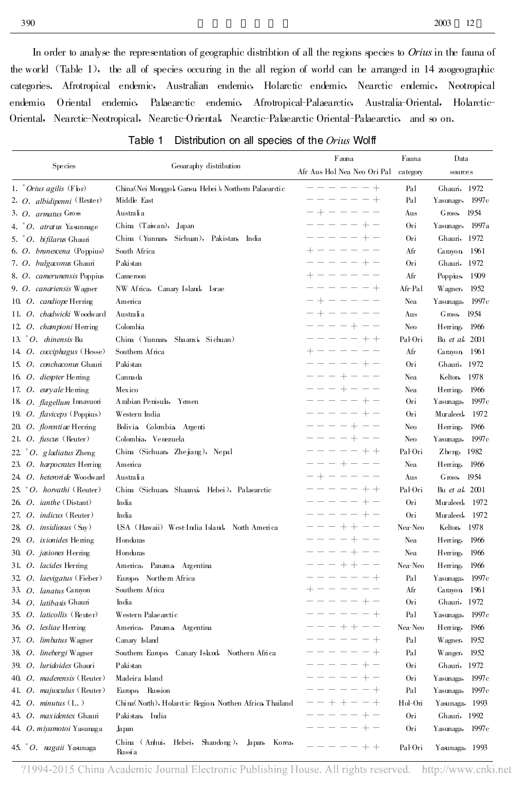In order to analyse the representation of geographic distribtion of all the regions species to Orius in the fauna of the world (Table 1), the all of species occuring in the all region of world can be arranged in 14 zoogeographic categories. Afrotropical endemic, Australian endemic, Holarctic endemic, Nearctic endemic, Neotropical endemic, Oriental endemic , Palaearctic endemic , Afrotropical-Palaearctic , Australia-Oriental , Holarctic-Oriental, Nearctic-Neotropical, Nearctic-Oriental, Nearctic-Palaearctic Oriental-Palaearctic, and so on.

| Species                              | Geoaraphy distribution                                      | Fauna                                  | Fauna    | Data                   |
|--------------------------------------|-------------------------------------------------------------|----------------------------------------|----------|------------------------|
|                                      |                                                             | Afr Aus Hol Nea Neo Ori Pal            | category | sources                |
| 1. $^{*}$ Orius agilis (Fbr)         | China(Nei Monggol, Gansu, Hebei), Northern Palaear dic      | -------                                | Pal      | Ghauri, 1972           |
| 2. O. albidipenni (Reuter)           | Middle East                                                 | $\equiv$<br>$\qquad \qquad - \qquad -$ | Pal      | 1997c<br>Yasunage,     |
| 3. O. armatus Gross                  | Australia                                                   | $- + - - - - -$                        | Aus      | Gross,<br>1954         |
| 4. $^{\circ}$ O. atratus Yasunnage   | China (Taiwan),<br>Japan                                    | $\equiv$<br>$- - - + -$                | Ori      | Yasunage,<br>1997a     |
| 5. "O. bifilarus Ghauni              | China (Yunnan,<br>Sichuan), Pakistan,<br>India              | $- - - + -$                            | Ori      | Ghauri, 1972           |
| 6. O. brunescena (Poppius)           | South Africa                                                | $\qquad \qquad - \qquad -$<br>$+ -$    | Afr      | Carayon, 1961          |
| 7. O. bulgaconus Ghauri              | Pakistan                                                    | $- - - + -$<br>$\frac{1}{2}$           | Ori      | Ghauri, 1972           |
| 8. O. camerunensis Poppius           | Came roon                                                   | $+ - - - - - -$                        | Afr      | Poppins,<br>1909       |
| 9. O. canariensis Wagner             | NW Africa,<br>Canary Island, Israe                          | $- - - - +$                            | Afr-Pal  | Wagner,<br>1952        |
| 10. O. candiope Herring              | America                                                     | $-+------$                             | Nea      | Yasunaga,<br>1997c     |
| 11. O. chadwicki Woodward            | Australia                                                   | - + - - - - -                          | Aus      | 1954<br>Gross,         |
| 12 O. championi Herring              | Colombia                                                    | $----+--$                              | Neo      | Herring,<br>1966       |
| 13. $^{\circ}$ O. <i>dinensis</i> Bu | China (Yunnan,<br>Shaanxi, Sichuan)                         | $-- - - - + +$                         | Pal-Ori  | Bu et al, 2001         |
| 14. O. cocciphagus (Hesse)           | Southern Africa                                             | $+ - - - - - -$                        | Afr      | Carayon, 1961          |
| 15. O. conchaconus Ghauri            | Paki stan                                                   | $-----+-$                              | Ori      | Ghauri, 1972           |
| 16. O. diespter Heming               | Cannada                                                     | $-- + - - - -$                         | Nea      | Kelton,<br>1978        |
| 17. O. euryale Heming                | Mexico                                                      | $--- + --- --- -$                      | Nea      | Herring,<br>1966       |
| 18. O. flagellum Innavuori           | Arabian Penisula, Yemen                                     | $----+-+$                              | Ori      | Yasunaga,<br>1997c     |
| 19. O. flaviceps (Poppius)           | Western India                                               | $----+-+$                              | Ori      | Muraleed,<br>1972      |
| 20. O. florentiae Herring            | Bolivia Colombia Argenti                                    | $---+-+--$                             | Neo      | Herring,<br>1966       |
| 21. O. fuscus (Reuter)               | Colombia, Venezuela                                         | $--- + - + - -$                        | Neo      | Yasunaga,<br>1997 c    |
| 22 $^*O.$ gladiatus Zheng            | China (Sichuan, Zhejiang), Nepal                            | -----++                                | Pal-Ori  | Zheng, 1982            |
| 23. O. harpocrates Herring           | America                                                     | $--++----$                             | Nea      | Herring,<br>1966       |
| 24. O. heteroride Woodward           | Australia                                                   | $- + - - - - -$                        | Aus      | 1954<br>Gross,         |
| 25. $^*O$ . horvathi (Reuter)        | China (Sichuan, Shaanxi, Hebei), Palaearctic                | $-- - - - + +$                         | Pal-Ori  | Bu <i>et al</i> , 2001 |
| 26 <i>O. ianthe</i> (Distant)        | India                                                       | $    -$<br>$+ -$                       | Ori      | Muraleed,<br>1972      |
| 27. O. indicus (Reuter)              | India                                                       | $   -$<br>$+ -$                        | Ori      | Muraleed,<br>1972      |
| 28. O. <i>insidiosus</i> (Say)       | USA (Hawaii) West-India Island, North America               | ---++--                                | Nea-Neo  | Kelton,<br>1978        |
| 29. O. ixionides Heming              | Honduras                                                    | $----+--$                              | Nea      | Herring,<br>1966       |
| 30 O. jasiones Herring               | Honduras                                                    | $----+--$                              | Nea      | Herring,<br>1966       |
| 31. O. lacides Herring               | America, Panama, Argentina                                  | $---++---$                             | Nea-Neo  | Herring,<br>1966       |
| 32. O. laevigatus (Fieber)           | Europe, Northern Africa                                     | $- - - - +$                            | Pal      | Yasunaga,<br>1997c     |
| 33. O. lanatus Carayon               | Southern Africa                                             | $+ - - - - - -$                        | Afr      | 1961<br>Carayon        |
| 34 O. latibasis Ghauri               | India                                                       | $----+-$                               | Ori      | Ghauri, 1972           |
| 35. O. laticollis (Reuter)           | Western Palae arctic                                        | $------+$                              | Pal      | 1997c<br>Yasunaga,     |
| 36 O. lesliae Herring                | America, Panama, Argentina                                  | - - - + + - -                          | Nea-Neo  | Herring,<br>1966       |
| 37. O. limbatus Wagner               | Canary Island                                               | $-- - - - +$                           | Pal      | 1952<br>Wagner,        |
| 38. O. linebergi Wagner              | Southern Europe, Canary Island, Northern Africa             | $- - - - +$                            | Pal      | Wanger,<br>1952        |
| 39. O. luridoides Ghauri             | Paki stan                                                   | -----+-                                | Ori      | Ghauri, 1972           |
| 40. O. maderensis (Reuter)           | Madeira Island                                              | -----+-                                | Ori      | 1997c<br>Yasunaga,     |
| 41. O. <i>majusculus</i> (Reuter)    | Europe, Russion                                             | $--- +$                                | Pal      | Yasunaga,<br>1997c     |
| 42. O. minutus $(L.)$                | China (North), Holard ic Region, Northen Africa, Thailand   | --++--+                                | Hol-Ori  | Yasunaga, 1993         |
| 43. O. maxidentex Ghauri             | Pakistan, India                                             | -----+-                                | Ori      | Ghauri, 1992           |
| 44. O. miyamotoi Yasunaga            | Japan                                                       | $-----+-$                              | Ori      | 1997c<br>Yasunaga,     |
| 45. <sup>*</sup> O. nagaii Yasunaga  | China (Anhui, Hebei, Shandong),<br>Japan, Korea,<br>Russi a | $--- - - + +$                          | Pal-Ori  | Yasunaga, 1993         |

## Table 1 Distribution on all species of the Orius Wolff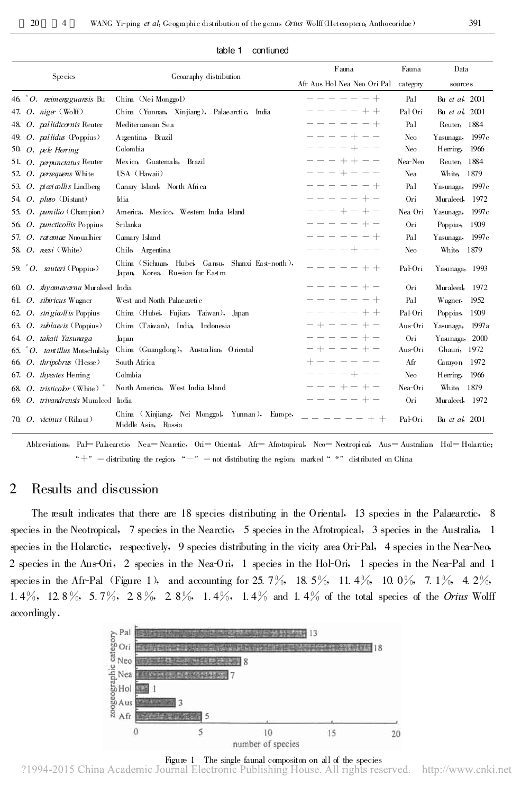| Species |  |                                        | Geoaraphy distribution                                                                    | Fauna                       | Fauna           | Data                   |
|---------|--|----------------------------------------|-------------------------------------------------------------------------------------------|-----------------------------|-----------------|------------------------|
|         |  |                                        |                                                                                           | Afr Aus Hol Nea Neo Ori Pal | category        | sources                |
|         |  | 46. $^{*}$ O. neimengguansis Bu        | China (Nei Monggol)                                                                       | $-- - - - - +$              | Pal             | Bu et al, 2001         |
|         |  | 47. O. niger $(\mathbb{W} \text{off})$ | China (Yunnan, Xinjiang), Palae arctic, India                                             | $----++$                    | Pal-Ori         | Bu et al, 2001         |
|         |  | 48. O. pallidicornis Reuter            | Mediterranean Sea                                                                         | -------                     | Pal             | Reuter, 1884           |
|         |  | 49. O. pallidus (Poppius)              | Argentina Brazil                                                                          | ----+--                     | Neo             | 1997c<br>Yasunaga,     |
|         |  | 50. O. pele Herring                    | Colombia                                                                                  | $----++--$                  | N <sub>eo</sub> | Herring,<br>1966       |
|         |  | 51. O. <i>perpunctatus</i> Reuter      | Mexico Guatemala, Brazil                                                                  | $- - - + + - -$             | Nea-Neo         | 1884<br>Reuter.        |
|         |  | 52 O. persequens White                 | USA (Hawaii)                                                                              | $-- + - - - -$              | Nea             | 1879<br>White          |
|         |  | 53. O. piceicollis Lindberg            | Canary Island, North Africa                                                               | $------++$                  | Pal             | 1997c<br>Yasunaga,     |
|         |  | 54. O. pluto $(Distant)$               | Idia                                                                                      | $-- - - - + -$              | Ori             | Muraleed,<br>1972      |
|         |  | 55. O. pumilio (Champion)              | America, Mexico, Western India Island                                                     | $-- + - + -$                | Nea-Ori         | 1997c<br>Yasunaga,     |
|         |  | 56 O. <i>puncticollis</i> Poppius      | Srilanka                                                                                  | $-- - - - + -$              | Ori             | Poppins,<br>1909       |
|         |  | 57. O. ratamae Nnoualhier              | Camary Island                                                                             | $------+$                   | Pal             | Yasunaga,<br>1997c     |
|         |  | 58. $O.$ reesi (White)                 | Chile Argentina                                                                           | $----+--$                   | N <sub>eo</sub> | White<br>1879          |
|         |  | 59. $^{\ast}$ O. sauteri (Poppius)     | China (Sichuan, Hubei, Gansu,<br>Shanxi East-north),<br>Korea Russion far Eastm<br>Japan, | $- - - - + +$               | Pal-Ori         | Yasunaga, 1993         |
|         |  | 60. O. shyamavarna Muraleed India      |                                                                                           | $----++-$                   | Ori             | Muraleed.<br>1972      |
|         |  | 61. O. sibiricus Wagner                | West and North Palae arctic                                                               | $-- - - - - +$              | Pal             | Wagner,<br>1952        |
|         |  | 62 O. strigiall is Poppius             | China (Hubei, Fujian, Taiwan), Japan                                                      | $----++$                    | Pal-Ori         | Poppius,<br>1909       |
|         |  | 63. O. sublaevis (Poppius)             | China (Taiwan), India, Indonesia                                                          | $- + - - - + -$             | Aus-Ori         | 1997a<br>Yasunaga,     |
|         |  | 64. O. takaii Yasunaga                 | Japan                                                                                     | $--- --- + -$               | Ori             | Yasunaga,<br>2000      |
|         |  | 65. "O. tantillus Motschulsky          | China (Guangdong), Australian, Oriental                                                   | $- + - - - + -$             | Aus-Ori         | Ghauri, 1972           |
|         |  | 66. O. thripobrus (Hesse)              | South Africa                                                                              | $+ - - - - - -$             | Afr             | Carayon<br>1972        |
|         |  | 67. O. thyestes Heming                 | Colmbia                                                                                   | $----+---$                  | Neo             | Herring,<br>1966       |
|         |  | 68. O. tristicolor (White) $*$         | North America, West India Island                                                          | $-- + - + -$                | Nea-Ori         | <b>White</b><br>1879   |
|         |  | 69. O. trivandrensis Muraleed          | India                                                                                     | $----+-$                    | Ori             | Muraleed, 1972         |
|         |  | 70 O. vicinus (Ribaut)                 | China (Xinjiang, Nei Monggol, Yunnan), Europe,<br>Middle Asia, Russia                     |                             | Pal-Ori         | Bu <i>et al</i> , 2001 |

#### table 1 contiuned

Abbreviations: Pal=Palaearctic, Nea=Nearctic, Ori = Oriental, Afr = Afrotropical, Neo = Neotropical, Aus = Australian, Hol = Holarctic: " + " = distributing the region, " - " = not distributing the region; marked "  $*$ " distributed on China

## 2 Results and discussion

The result indicates that there are 18 species distributing in the Oriental, 13 species in the Palaearctic, 8 species in the Neotropical, 7 species in the Nearctic, 5 species in the Afrotropical, 3 species in the Australia, 1 species in the Holarctic, respectively, 9 species distributing in the vicity area Ori-Pal, 4 species in the Nea-Neo, 2 species in the Aus-Ori, 2 species in the Nea-Ori, 1 species in the Hol-Ori, 1 species in the Nea-Pal and 1 species in the Afr-Pal (Figure 1), and accounting for 25.7%, 18.5%, 11.4%, 10.0%, 7.1%, 4.2%, 1.4%, 12.8%, 5.7%, 2.8%, 2.8%, 1.4%, 1.4% and 1.4% of the total species of the *Orius* Wolff accordingly .



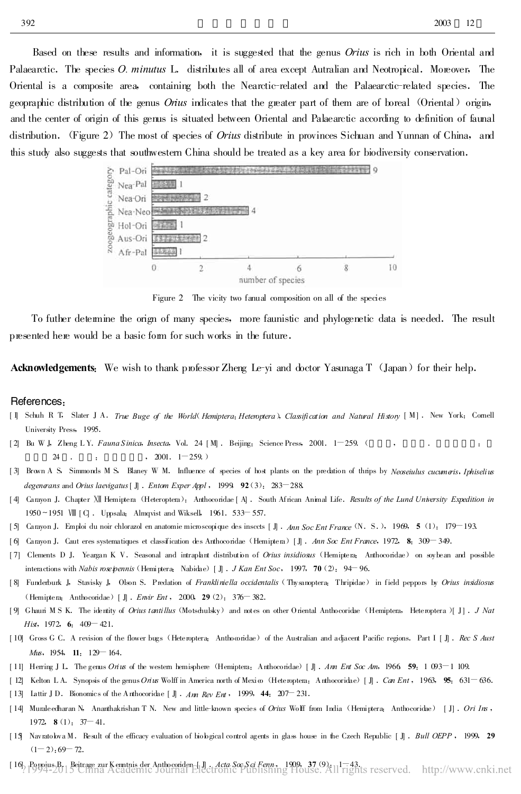Based on these results and information, it is suggested that the genus *Orius* is rich in both Oriental and Palaearctic. The species *O. minutus* L. distributes all of area except Autralian and Neotropical. Moreover, The Oriental is a composite area , containing both the Nearctic-related and the Palaearctic-related species .The geopraphic distribution of the genus *Orius* indicates that the greater part of them are of boreal (Oriental) origin, and the center of origin of this genus is situated between Oriental and Palaearctic according to definition of faunal distribution. (Figure 2) The most of species of *Orius* distribute in provinces Sichuan and Yunnan of China, and



Figure 2 The vicity two fanual composition on all of the species

To futher determine the orign of many species, more faunistic and phylogenetic data is needed .The result presented here would be a basic form for such works in the future .

Acknowledgements: We wish to thank professor Zheng Le-yi and doctor Yasunaga T (Japan) for their help.

### References :

- [1] Schuh R T, Slater J A. True Buge of the World(Hemiptera; Heteroptera), Classification and Natural History [M]. New York: Cornell University Press, 1995.
- [ 2] Bu W J, Zheng L Y. Fauna Sinica, Insecta, Vol. 24  $[M]$  . Beijing: Science Press, 2001.  $1-259$ . 24 . : . 72001. 1-259.)
- [3] Brown A S, Simmonds M S, Blaney W M. Influence of species of host plants on the predation of thrips by Neoseiulus cucumeris, Iphiselius degenerans and Orius laevigatus [ J] . Entom Exper Appl , 1999, 92(3): 283-288.
- [4] Carayon J. Chapter XII Hemiptera (Heteroptera): Anthocoridae [A]. South African Animal Life. Results of the Lund University Expedition in 1950~1951 WI [C]. Uppsala: Almqvist and Wiksell, 1961. 533-557.
- [ 5] Carayon J.Emploi du noir chlorazol en anatomie microscopique des insccts [ J] .Ann Soc Ent France (N .S .), 1969 , 5 (1):179-193.
- [6] Carayon J. Caut eres systematiques et classification des Anthocoridae (Hemiptera) [J]. Ann Soc Ent France, 1972, 8:309-349.
- [7] Clements D J. Yeargan K V. Seasonal and intraplant distribution of Orius insidiosus (Hemiptera: Anthocoridae) on soybean and possible interactions with Nabis roseipennis (Hemiptera: Nabidae) [ J] . J Kan Ent Soc, 1997, 70(2): 94-96.
- [8] Funderburk J, Stavisky J, Olson S. Predation of Frankliniella occidentalis (Thysanoptera: Thripidae) in field peppors by Orius insidiosus (Hemiptera: Anthocoridae) [ J] . Envir Ent , 2000, 29(2): 376-382.
- [9] Ghauri M S K. The identity of Orius tantillus (Motschulsky) and notes on other Oriental Anthocoridae (Hemiptera, Heteroptera )[ J]. J Nat Hist, 1972, 6:  $409 - 421$ .
- [10] Gross G C. A revision of the flower bugs (Heteroptera: Anthocoridae) of the Australian and adjacent Pacific regions. Part I [ J]. Rec S Aust  $Mu$ s, 1954, 11: 129 – 164.
- [11] Herring J L. The genus On us of the western hemisphere (Hemiptera: Anthocoridae) [J] . Ann Ent Soc Am, 1966, 59: 1 093-1 109.
- [ 12] Kelton L.A. Synopsis of the genus Orius Wolff in America north of Mexi  $\omega$  (Heteroptera: Anthocoridae) [ J]. Can Ent , 1963, 95:631 636.
- [ 13] Lattir J D. Bionomics of the Anthocoridae [ J] .  $Am\ Rev\ Ent$ , 1999, 44: 207-231.
- [14] Muraleedharan N, Ananthakrishan T N. New and little-known species of Orius Wolff from India (Hemiptera: Anthocoridae) [J]. Ori Ins, 1972, **8** $(1)$ : 37 – 41.
- [15] Navratolova M. Result of the efficacy evaluation of biological control agents in glass house in the Czech Republic [J]. Bull OEPP, 1999, 29  $(1-2)$ : 69  $-72$ .
- [ 16] Poppius B .Beitrage zur Kenntnis der Anthocoriden [ J] .Acta Soc S ci Fenn , 1909 , 37(9):1-43.